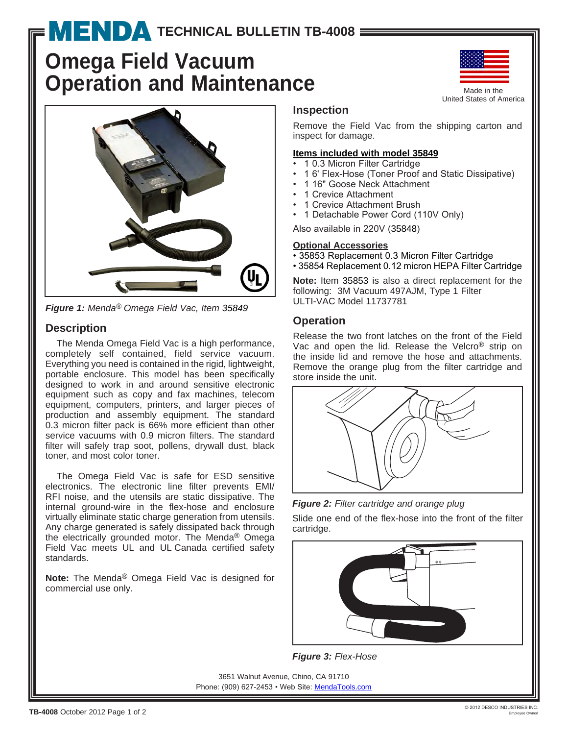# **[T](http://www.mendapump.com)ECHNICAL BULLETIN TB-4008 =**

# **Omega Field Vacuum Operation and Maintenance**



*Figure 1: Menda® Omega Field Vac, Item 35849*

# **Description**

The Menda Omega Field Vac is a high performance, completely self contained, field service vacuum. Everything you need is contained in the rigid, lightweight, portable enclosure. This model has been specifically designed to work in and around sensitive electronic equipment such as copy and fax machines, telecom equipment, computers, printers, and larger pieces of production and assembly equipment. The standard 0.3 micron filter pack is 66% more efficient than other service vacuums with 0.9 micron filters. The standard filter will safely trap soot, pollens, drywall dust, black toner, and most color toner.

The Omega Field Vac is safe for ESD sensitive electronics. The electronic line filter prevents EMI/ RFI noise, and the utensils are static dissipative. The internal ground-wire in the flex-hose and enclosure virtually eliminate static charge generation from utensils. Any charge generated is safely dissipated back through the electrically grounded motor. The Menda® Omega Field Vac meets UL and UL Canada certified safety standards.

**Note:** The Menda® Omega Field Vac is designed for commercial use only.



United States of America

#### **Inspection**

Remove the Field Vac from the shipping carton and inspect for damage.

#### **Items included with model 35849**

- 10.3 Micron Filter Cartridge
- 1 6' Flex-Hose (Toner Proof and Static Dissipative)
- 1 16" Goose Neck Attachment
- 1 Crevice Attachment
- 1 Crevice Attachment Brush
- 1 Detachable Power Cord (110V Only)

Also available in 220V (35848)

### **Optional Accessories**

- 35853 Replacement 0.3 Micron Filter Cartridge
- 35854 Replacement 0.12 micron HEPA Filter Cartridge

**Note:** Item 35853 is also a direct replacement for the following: 3M Vacuum 497AJM, Type 1 Filter ULTI-VAC Model 11737781

## **Operation**

Release the two front latches on the front of the Field Vac and open the lid. Release the Velcro® strip on the inside lid and remove the hose and attachments. Remove the orange plug from the filter cartridge and store inside the unit.



*Figure 2: Filter cartridge and orange plug*

Slide one end of the flex-hose into the front of the filter cartridge.



*Figure 3: Flex-Hose*

3651 Walnut Avenue, Chino, CA 91710 Phone: (909) 627-2453 • Web Site: [MendaTools.com](http://www.mendatools.com)